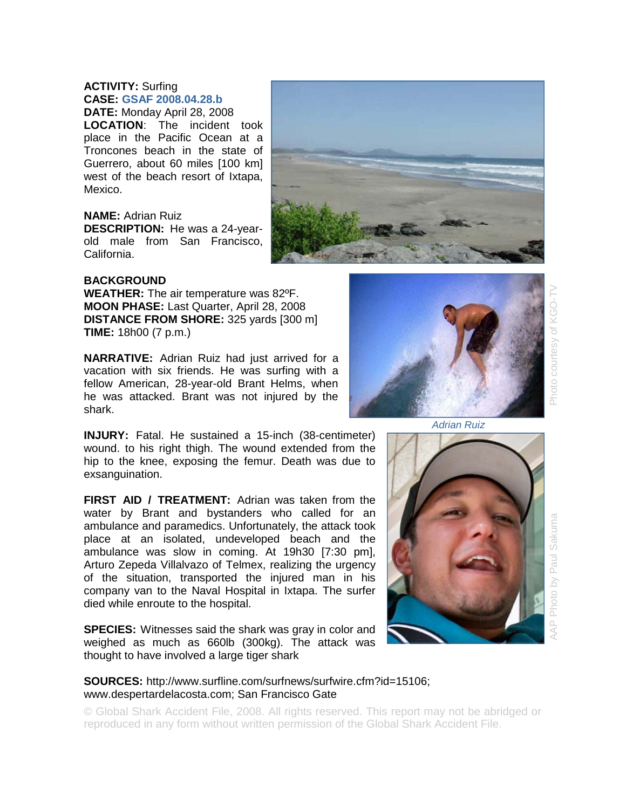## **ACTIVITY:** Surfing **CASE: GSAF 2008.04.28.b**

**DATE:** Monday April 28, 2008 **LOCATION**: The incident took place in the Pacific Ocean at a Troncones beach in the state of Guerrero, about 60 miles [100 km] west of the beach resort of Ixtapa, Mexico.

## **NAME:** Adrian Ruiz

**DESCRIPTION:** He was a 24-yearold male from San Francisco, California.



## **BACKGROUND**

**WEATHER:** The air temperature was 82ºF. **MOON PHASE:** Last Quarter, April 28, 2008 **DISTANCE FROM SHORE:** 325 yards [300 m] **TIME:** 18h00 (7 p.m.)

**NARRATIVE:** Adrian Ruiz had just arrived for a vacation with six friends. He was surfing with a fellow American, 28-year-old Brant Helms, when he was attacked. Brant was not injured by the shark.

**INJURY:** Fatal. He sustained a 15-inch (38-centimeter) wound. to his right thigh. The wound extended from the hip to the knee, exposing the femur. Death was due to exsanguination.

**FIRST AID / TREATMENT:** Adrian was taken from the water by Brant and bystanders who called for an ambulance and paramedics. Unfortunately, the attack took place at an isolated, undeveloped beach and the ambulance was slow in coming. At 19h30 [7:30 pm], Arturo Zepeda Villalvazo of Telmex, realizing the urgency of the situation, transported the injured man in his company van to the Naval Hospital in Ixtapa. The surfer died while enroute to the hospital.

**SPECIES:** Witnesses said the shark was gray in color and weighed as much as 660lb (300kg). The attack was thought to have involved a large tiger shark

## **SOURCES:** http://www.surfline.com/surfnews/surfwire.cfm?id=15106; www.despertardelacosta.com; San Francisco Gate

© Global Shark Accident File, 2008. All rights reserved. This report may not be abridged or reproduced in any form without written permission of the Global Shark Accident File.



*Adrian Ruiz* 



Photo courtesy of